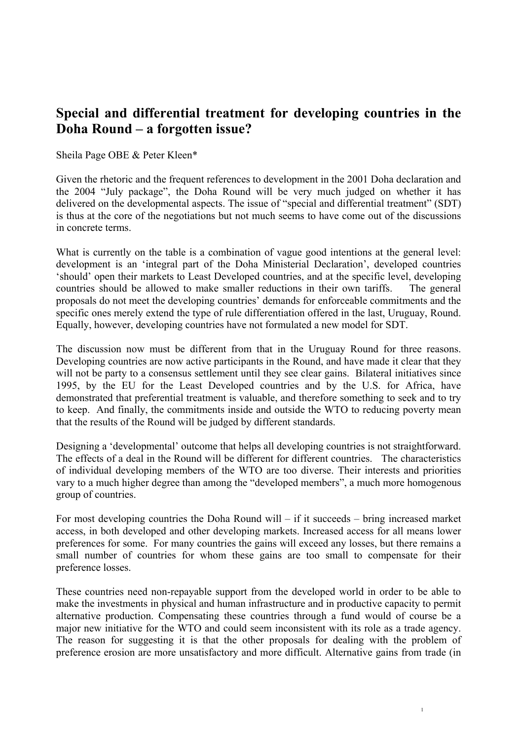## **Special and differential treatment for developing countries in the Doha Round – a forgotten issue?**

Sheila Page OBE & Peter Kleen\*

Given the rhetoric and the frequent references to development in the 2001 Doha declaration and the 2004 "July package", the Doha Round will be very much judged on whether it has delivered on the developmental aspects. The issue of "special and differential treatment" (SDT) is thus at the core of the negotiations but not much seems to have come out of the discussions in concrete terms.

What is currently on the table is a combination of vague good intentions at the general level: development is an 'integral part of the Doha Ministerial Declaration', developed countries 'should' open their markets to Least Developed countries, and at the specific level, developing countries should be allowed to make smaller reductions in their own tariffs. The general proposals do not meet the developing countries' demands for enforceable commitments and the specific ones merely extend the type of rule differentiation offered in the last, Uruguay, Round. Equally, however, developing countries have not formulated a new model for SDT.

The discussion now must be different from that in the Uruguay Round for three reasons. Developing countries are now active participants in the Round, and have made it clear that they will not be party to a consensus settlement until they see clear gains. Bilateral initiatives since 1995, by the EU for the Least Developed countries and by the U.S. for Africa, have demonstrated that preferential treatment is valuable, and therefore something to seek and to try to keep. And finally, the commitments inside and outside the WTO to reducing poverty mean that the results of the Round will be judged by different standards.

Designing a 'developmental' outcome that helps all developing countries is not straightforward. The effects of a deal in the Round will be different for different countries. The characteristics of individual developing members of the WTO are too diverse. Their interests and priorities vary to a much higher degree than among the "developed members", a much more homogenous group of countries.

For most developing countries the Doha Round will – if it succeeds – bring increased market access, in both developed and other developing markets. Increased access for all means lower preferences for some. For many countries the gains will exceed any losses, but there remains a small number of countries for whom these gains are too small to compensate for their preference losses.

These countries need non-repayable support from the developed world in order to be able to make the investments in physical and human infrastructure and in productive capacity to permit alternative production. Compensating these countries through a fund would of course be a major new initiative for the WTO and could seem inconsistent with its role as a trade agency. The reason for suggesting it is that the other proposals for dealing with the problem of preference erosion are more unsatisfactory and more difficult. Alternative gains from trade (in